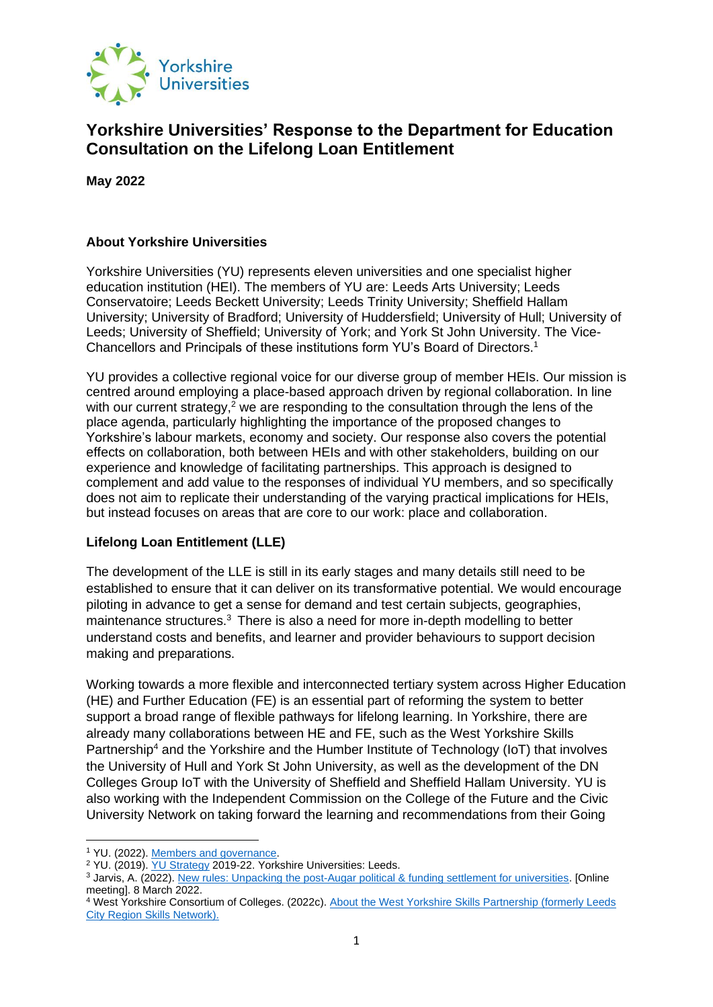

## **Yorkshire Universities' Response to the Department for Education Consultation on the Lifelong Loan Entitlement**

**May 2022**

## **About Yorkshire Universities**

Yorkshire Universities (YU) represents eleven universities and one specialist higher education institution (HEI). The members of YU are: Leeds Arts University; Leeds Conservatoire; Leeds Beckett University; Leeds Trinity University; Sheffield Hallam University; University of Bradford; University of Huddersfield; University of Hull; University of Leeds; University of Sheffield; University of York; and York St John University. The Vice-Chancellors and Principals of these institutions form YU's Board of Directors.<sup>1</sup>

YU provides a collective regional voice for our diverse group of member HEIs. Our mission is centred around employing a place-based approach driven by regional collaboration. In line with our current strategy, $2$  we are responding to the consultation through the lens of the place agenda, particularly highlighting the importance of the proposed changes to Yorkshire's labour markets, economy and society. Our response also covers the potential effects on collaboration, both between HEIs and with other stakeholders, building on our experience and knowledge of facilitating partnerships. This approach is designed to complement and add value to the responses of individual YU members, and so specifically does not aim to replicate their understanding of the varying practical implications for HEIs, but instead focuses on areas that are core to our work: place and collaboration.

## **Lifelong Loan Entitlement (LLE)**

The development of the LLE is still in its early stages and many details still need to be established to ensure that it can deliver on its transformative potential. We would encourage piloting in advance to get a sense for demand and test certain subjects, geographies, maintenance structures.<sup>3</sup> There is also a need for more in-depth modelling to better understand costs and benefits, and learner and provider behaviours to support decision making and preparations.

Working towards a more flexible and interconnected tertiary system across Higher Education (HE) and Further Education (FE) is an essential part of reforming the system to better support a broad range of flexible pathways for lifelong learning. In Yorkshire, there are already many collaborations between HE and FE, such as the West Yorkshire Skills Partnership<sup>4</sup> and the Yorkshire and the Humber Institute of Technology (IoT) that involves the University of Hull and York St John University, as well as the development of the DN Colleges Group IoT with the University of Sheffield and Sheffield Hallam University. YU is also working with the Independent Commission on the College of the Future and the Civic University Network on taking forward the learning and recommendations from their Going

<sup>1</sup> YU. (2022). [Members and governance.](https://yorkshireuniversities.ac.uk/our-members/)

<sup>&</sup>lt;sup>2</sup> YU. (2019). [YU Strategy](https://yorkshireuniversities.ac.uk/wp-content/uploads/sites/15/2020/01/YU-2019-22-Strategy_FINAL.pdf) 2019-22. Yorkshire Universities: Leeds.

<sup>3</sup> Jarvis, A. (2022). [New rules: Unpacking the post-Augar political & funding settlement for universities.](https://wonkhe.com/events/new-rules/) [Online meeting]. 8 March 2022.

<sup>4</sup> West Yorkshire Consortium of Colleges. (2022c). [About the West Yorkshire Skills Partnership \(formerly Leeds](https://www.westyorkshirecolleges.co.uk/west-yorkshire-skills-partnership)  [City Region Skills Network\).](https://www.westyorkshirecolleges.co.uk/west-yorkshire-skills-partnership)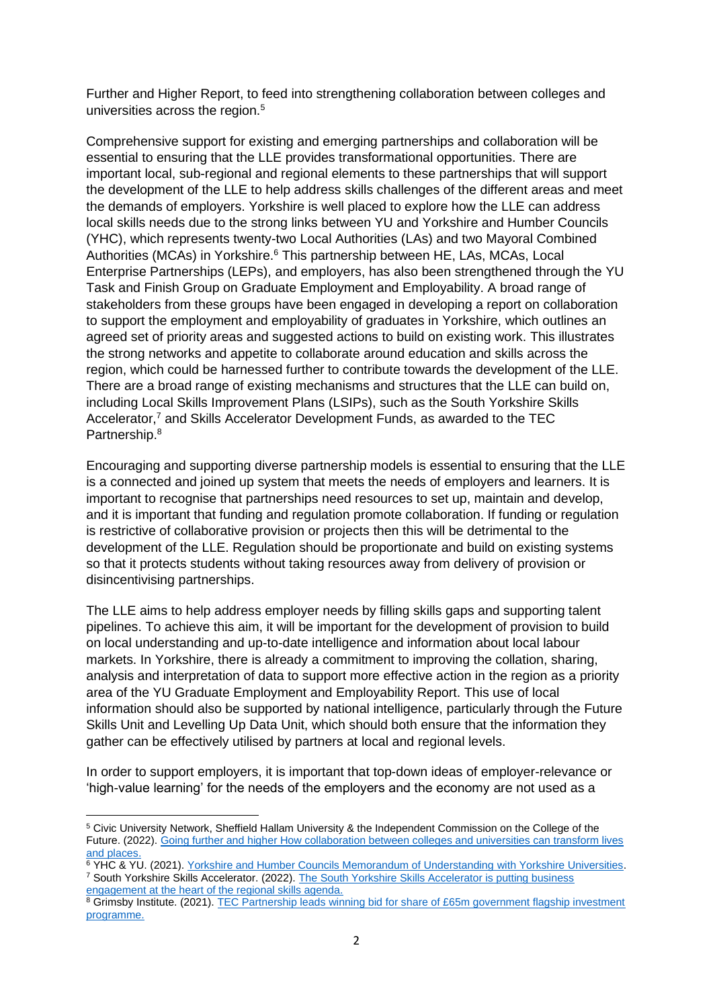Further and Higher Report, to feed into strengthening collaboration between colleges and universities across the region.<sup>5</sup>

Comprehensive support for existing and emerging partnerships and collaboration will be essential to ensuring that the LLE provides transformational opportunities. There are important local, sub-regional and regional elements to these partnerships that will support the development of the LLE to help address skills challenges of the different areas and meet the demands of employers. Yorkshire is well placed to explore how the LLE can address local skills needs due to the strong links between YU and Yorkshire and Humber Councils (YHC), which represents twenty-two Local Authorities (LAs) and two Mayoral Combined Authorities (MCAs) in Yorkshire.<sup>6</sup> This partnership between HE, LAs, MCAs, Local Enterprise Partnerships (LEPs), and employers, has also been strengthened through the YU Task and Finish Group on Graduate Employment and Employability. A broad range of stakeholders from these groups have been engaged in developing a report on collaboration to support the employment and employability of graduates in Yorkshire, which outlines an agreed set of priority areas and suggested actions to build on existing work. This illustrates the strong networks and appetite to collaborate around education and skills across the region, which could be harnessed further to contribute towards the development of the LLE. There are a broad range of existing mechanisms and structures that the LLE can build on, including Local Skills Improvement Plans (LSIPs), such as the South Yorkshire Skills Accelerator,<sup>7</sup> and Skills Accelerator Development Funds, as awarded to the TEC Partnership.<sup>8</sup>

Encouraging and supporting diverse partnership models is essential to ensuring that the LLE is a connected and joined up system that meets the needs of employers and learners. It is important to recognise that partnerships need resources to set up, maintain and develop, and it is important that funding and regulation promote collaboration. If funding or regulation is restrictive of collaborative provision or projects then this will be detrimental to the development of the LLE. Regulation should be proportionate and build on existing systems so that it protects students without taking resources away from delivery of provision or disincentivising partnerships.

The LLE aims to help address employer needs by filling skills gaps and supporting talent pipelines. To achieve this aim, it will be important for the development of provision to build on local understanding and up-to-date intelligence and information about local labour markets. In Yorkshire, there is already a commitment to improving the collation, sharing, analysis and interpretation of data to support more effective action in the region as a priority area of the YU Graduate Employment and Employability Report. This use of local information should also be supported by national intelligence, particularly through the Future Skills Unit and Levelling Up Data Unit, which should both ensure that the information they gather can be effectively utilised by partners at local and regional levels.

In order to support employers, it is important that top-down ideas of employer-relevance or 'high-value learning' for the needs of the employers and the economy are not used as a

<sup>5</sup> Civic University Network, Sheffield Hallam University & the Independent Commission on the College of the Future. (2022). [Going further and higher How collaboration between colleges and universities can transform lives](https://www.collegecommission.co.uk/going-further-and-higher)  [and places.](https://www.collegecommission.co.uk/going-further-and-higher)

<sup>&</sup>lt;sup>6</sup> YHC & YU. (2021). [Yorkshire and Humber Councils Memorandum of Understanding](https://yorkshireuniversities.ac.uk/wp-content/uploads/sites/15/2021/07/YH-Councils-and-YU-MOU-July-2021.pdf) with Yorkshire Universities. <sup>7</sup> South Yorkshire Skills Accelerator. (2022). [The South Yorkshire Skills Accelerator is putting business](https://sy-skillsaccelerator.co.uk/)  [engagement at the heart of the regional skills agenda.](https://sy-skillsaccelerator.co.uk/)

<sup>8</sup> Grimsby Institute. (2021). TEC Partnership leads winning bid for share of £65m government flagship investment [programme.](https://grimsby.ac.uk/tec-partnership-leads-winning-bid-for-share-of-65m-government-flagship-investment-programme/)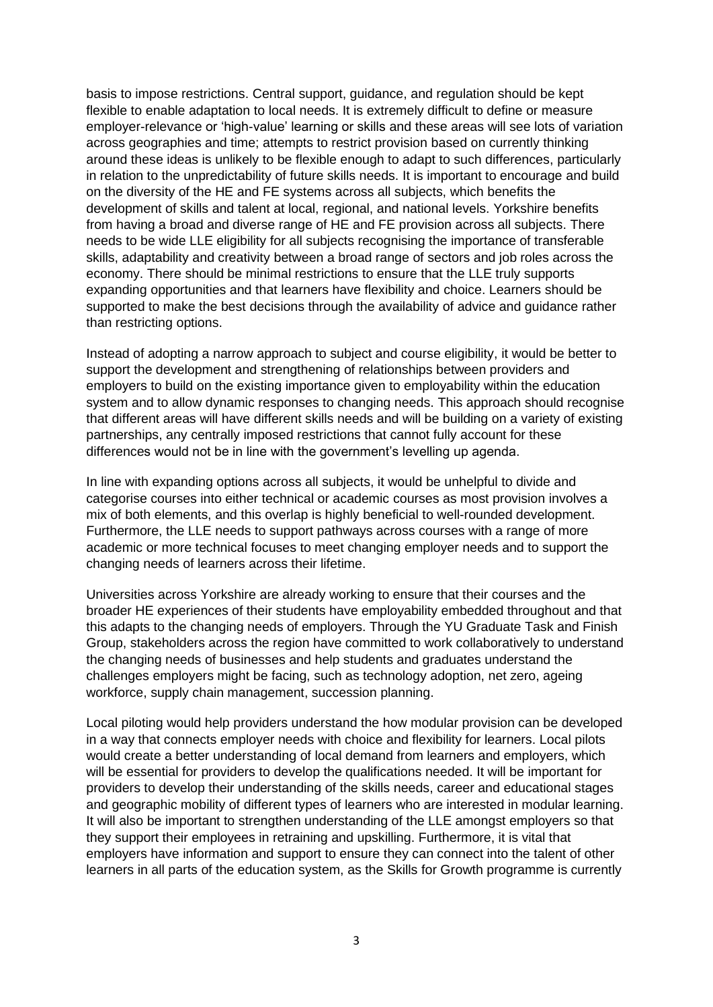basis to impose restrictions. Central support, guidance, and regulation should be kept flexible to enable adaptation to local needs. It is extremely difficult to define or measure employer-relevance or 'high-value' learning or skills and these areas will see lots of variation across geographies and time; attempts to restrict provision based on currently thinking around these ideas is unlikely to be flexible enough to adapt to such differences, particularly in relation to the unpredictability of future skills needs. It is important to encourage and build on the diversity of the HE and FE systems across all subjects, which benefits the development of skills and talent at local, regional, and national levels. Yorkshire benefits from having a broad and diverse range of HE and FE provision across all subjects. There needs to be wide LLE eligibility for all subjects recognising the importance of transferable skills, adaptability and creativity between a broad range of sectors and job roles across the economy. There should be minimal restrictions to ensure that the LLE truly supports expanding opportunities and that learners have flexibility and choice. Learners should be supported to make the best decisions through the availability of advice and guidance rather than restricting options.

Instead of adopting a narrow approach to subject and course eligibility, it would be better to support the development and strengthening of relationships between providers and employers to build on the existing importance given to employability within the education system and to allow dynamic responses to changing needs. This approach should recognise that different areas will have different skills needs and will be building on a variety of existing partnerships, any centrally imposed restrictions that cannot fully account for these differences would not be in line with the government's levelling up agenda.

In line with expanding options across all subjects, it would be unhelpful to divide and categorise courses into either technical or academic courses as most provision involves a mix of both elements, and this overlap is highly beneficial to well-rounded development. Furthermore, the LLE needs to support pathways across courses with a range of more academic or more technical focuses to meet changing employer needs and to support the changing needs of learners across their lifetime.

Universities across Yorkshire are already working to ensure that their courses and the broader HE experiences of their students have employability embedded throughout and that this adapts to the changing needs of employers. Through the YU Graduate Task and Finish Group, stakeholders across the region have committed to work collaboratively to understand the changing needs of businesses and help students and graduates understand the challenges employers might be facing, such as technology adoption, net zero, ageing workforce, supply chain management, succession planning.

Local piloting would help providers understand the how modular provision can be developed in a way that connects employer needs with choice and flexibility for learners. Local pilots would create a better understanding of local demand from learners and employers, which will be essential for providers to develop the qualifications needed. It will be important for providers to develop their understanding of the skills needs, career and educational stages and geographic mobility of different types of learners who are interested in modular learning. It will also be important to strengthen understanding of the LLE amongst employers so that they support their employees in retraining and upskilling. Furthermore, it is vital that employers have information and support to ensure they can connect into the talent of other learners in all parts of the education system, as the Skills for Growth programme is currently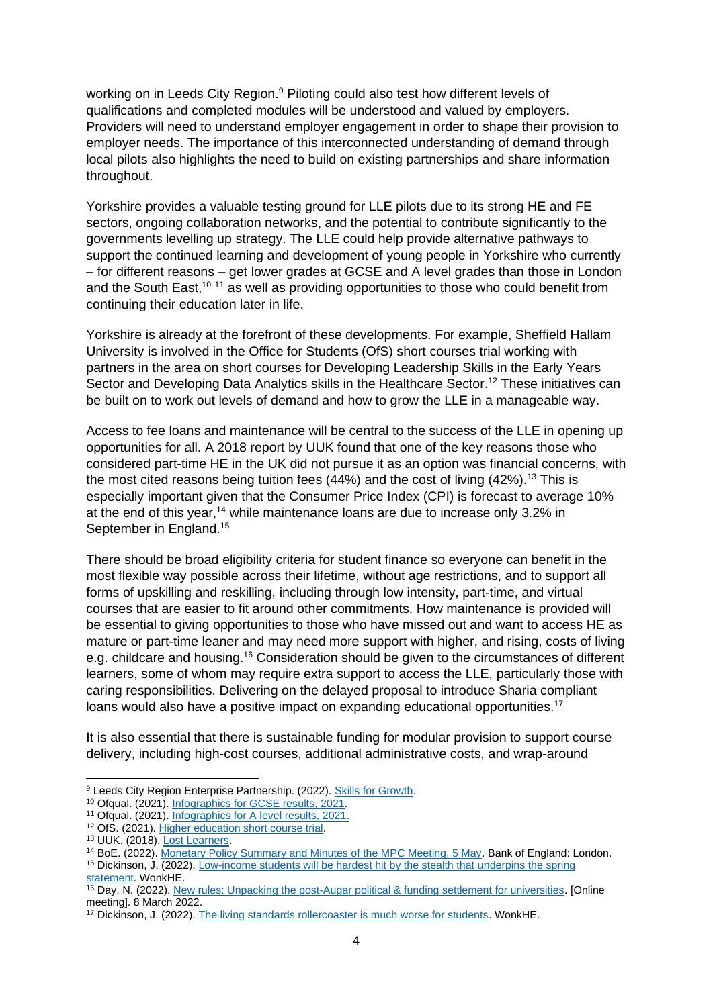working on in Leeds City Region.<sup>9</sup> Piloting could also test how different levels of qualifications and completed modules will be understood and valued by employers. Providers will need to understand employer engagement in order to shape their provision to employer needs. The importance of this interconnected understanding of demand through local pilots also highlights the need to build on existing partnerships and share information throughout.

Yorkshire provides a valuable testing ground for LLE pilots due to its strong HE and FE sectors, ongoing collaboration networks, and the potential to contribute significantly to the governments levelling up strategy. The LLE could help provide alternative pathways to support the continued learning and development of young people in Yorkshire who currently – for different reasons – get lower grades at GCSE and A level grades than those in London and the South East,<sup>10 11</sup> as well as providing opportunities to those who could benefit from continuing their education later in life.

Yorkshire is already at the forefront of these developments. For example, Sheffield Hallam University is involved in the Office for Students (OfS) short courses trial working with partners in the area on short courses for Developing Leadership Skills in the Early Years Sector and Developing Data Analytics skills in the Healthcare Sector.<sup>12</sup> These initiatives can be built on to work out levels of demand and how to grow the LLE in a manageable way.

Access to fee loans and maintenance will be central to the success of the LLE in opening up opportunities for all. A 2018 report by UUK found that one of the key reasons those who considered part-time HE in the UK did not pursue it as an option was financial concerns, with the most cited reasons being tuition fees  $(44%)$  and the cost of living  $(42%)$ .<sup>13</sup> This is especially important given that the Consumer Price Index (CPI) is forecast to average 10% at the end of this year,<sup>14</sup> while maintenance loans are due to increase only 3.2% in September in England.<sup>15</sup>

There should be broad eligibility criteria for student finance so everyone can benefit in the most flexible way possible across their lifetime, without age restrictions, and to support all forms of upskilling and reskilling, including through low intensity, part-time, and virtual courses that are easier to fit around other commitments. How maintenance is provided will be essential to giving opportunities to those who have missed out and want to access HE as mature or part-time leaner and may need more support with higher, and rising, costs of living e.g. childcare and housing.<sup>16</sup> Consideration should be given to the circumstances of different learners, some of whom may require extra support to access the LLE, particularly those with caring responsibilities. Delivering on the delayed proposal to introduce Sharia compliant loans would also have a positive impact on expanding educational opportunities.<sup>17</sup>

It is also essential that there is sustainable funding for modular provision to support course delivery, including high-cost courses, additional administrative costs, and wrap-around

<sup>9</sup> Leeds City Region Enterprise Partnership. (2022). [Skills for Growth.](https://www.the-lep.com/business-support/skills-and-training/skills-for-growth/)

<sup>10</sup> Ofqual. (2021)[. Infographics for GCSE results, 2021.](https://www.gov.uk/government/publications/infographic-gcse-results-2021/infographics-for-gcse-results-2021)

<sup>11</sup> Ofqual. (2021)[. Infographics for A level results, 2021.](https://www.gov.uk/government/publications/infographic-a-level-results-2021/infographics-for-a-level-results-2021)

<sup>12</sup> OfS. (2021)[. Higher education short course trial.](https://www.officeforstudents.org.uk/advice-and-guidance/skills-and-employment/higher-education-short-course-trial/funded-projects/)

<sup>&</sup>lt;sup>13</sup> UUK. (2018). [Lost Learners.](https://www.universitiesuk.ac.uk/what-we-do/policy-and-research/publications/lost-learners)

<sup>14</sup> BoE. (2022). [Monetary Policy Summary and Minutes of the MPC Meeting, 5 May.](https://www.bankofengland.co.uk/monetary-policy-summary-and-minutes/2022/may-2022) Bank of England: London.

<sup>15</sup> Dickinson, J. (2022)[. Low-income students will be hardest hit by the stealth that underpins the spring](https://wonkhe.com/blogs/low-income-students-will-be-hardest-hit-by-the-stealth-that-underpins-the-spring-statement/?utm_medium=email&utm_campaign=Wonkhe%20Mondays%20-%2028%20March&utm_content=Wonkhe%20Mondays%20-%2028%20March+CID_297a9b1beefabc0471c9d4838092db90&utm_source=Email%20marketing%20software&utm_term=and%20what%20the%20sector%20can%20do%20to%20alleviate%20its%20impacts)  [statement.](https://wonkhe.com/blogs/low-income-students-will-be-hardest-hit-by-the-stealth-that-underpins-the-spring-statement/?utm_medium=email&utm_campaign=Wonkhe%20Mondays%20-%2028%20March&utm_content=Wonkhe%20Mondays%20-%2028%20March+CID_297a9b1beefabc0471c9d4838092db90&utm_source=Email%20marketing%20software&utm_term=and%20what%20the%20sector%20can%20do%20to%20alleviate%20its%20impacts) WonkHE.

<sup>&</sup>lt;sup>16</sup> Day, N. (2022)[. New rules: Unpacking the post-Augar political & funding settlement for universities.](https://wonkhe.com/events/new-rules/) [Online meeting]. 8 March 2022.

<sup>&</sup>lt;sup>17</sup> Dickinson, J. (2022)[. The living standards rollercoaster is much worse for students. WonkHE.](https://wonkhe.com/wonk-corner/the-living-standards-rollercoaster-is-much-worse-for-students/)